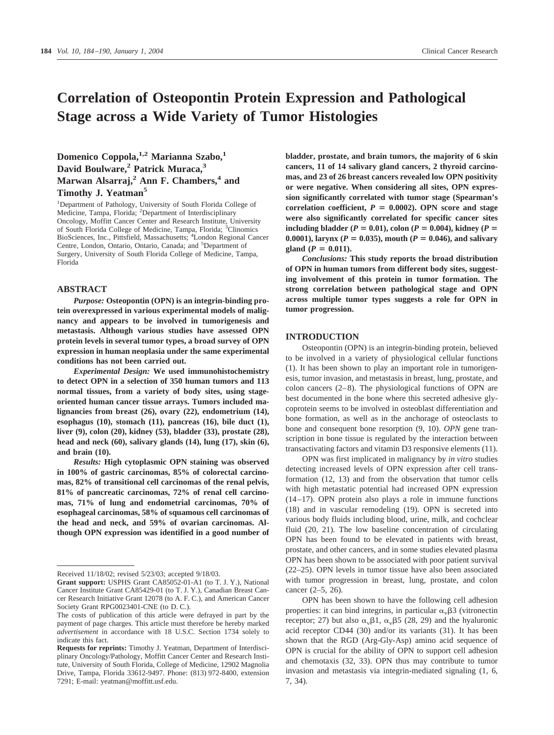# **Correlation of Osteopontin Protein Expression and Pathological Stage across a Wide Variety of Tumor Histologies**

# **Domenico Coppola,1,2 Marianna Szabo,1 David Boulware,2 Patrick Muraca,3 Marwan Alsarraj,2 Ann F. Chambers,4 and Timothy J. Yeatman5**

<sup>1</sup>Department of Pathology, University of South Florida College of Medicine, Tampa, Florida; <sup>2</sup>Department of Interdisciplinary Oncology, Moffitt Cancer Center and Research Institute, University of South Florida College of Medicine, Tampa, Florida; <sup>3</sup>Clinomics BioSciences, Inc., Pittsfield, Massachusetts; <sup>4</sup>London Regional Cancer Centre, London, Ontario, Ontario, Canada; and <sup>5</sup>Department of Surgery, University of South Florida College of Medicine, Tampa, Florida

## **ABSTRACT**

*Purpose:* **Osteopontin (OPN) is an integrin-binding protein overexpressed in various experimental models of malignancy and appears to be involved in tumorigenesis and metastasis. Although various studies have assessed OPN protein levels in several tumor types, a broad survey of OPN expression in human neoplasia under the same experimental conditions has not been carried out.**

*Experimental Design:* **We used immunohistochemistry to detect OPN in a selection of 350 human tumors and 113 normal tissues, from a variety of body sites, using stageoriented human cancer tissue arrays. Tumors included malignancies from breast (26), ovary (22), endometrium (14), esophagus (10), stomach (11), pancreas (16), bile duct (1), liver (9), colon (20), kidney (53), bladder (33), prostate (28), head and neck (60), salivary glands (14), lung (17), skin (6), and brain (10).**

*Results:* **High cytoplasmic OPN staining was observed in 100% of gastric carcinomas, 85% of colorectal carcinomas, 82% of transitional cell carcinomas of the renal pelvis, 81% of pancreatic carcinomas, 72% of renal cell carcinomas, 71% of lung and endometrial carcinomas, 70% of esophageal carcinomas, 58% of squamous cell carcinomas of the head and neck, and 59% of ovarian carcinomas. Although OPN expression was identified in a good number of**

**bladder, prostate, and brain tumors, the majority of 6 skin cancers, 11 of 14 salivary gland cancers, 2 thyroid carcinomas, and 23 of 26 breast cancers revealed low OPN positivity or were negative. When considering all sites, OPN expression significantly correlated with tumor stage (Spearman's** correlation coefficient,  $P = 0.0002$ ). OPN score and stage **were also significantly correlated for specific cancer sites including bladder** ( $P = 0.01$ ), colon ( $P = 0.004$ ), kidney ( $P = 0.004$ ) 0.0001), larynx ( $P = 0.035$ ), mouth ( $P = 0.046$ ), and salivary **gland**  $(P = 0.011)$ .

*Conclusions:* **This study reports the broad distribution of OPN in human tumors from different body sites, suggesting involvement of this protein in tumor formation. The strong correlation between pathological stage and OPN across multiple tumor types suggests a role for OPN in tumor progression.**

## **INTRODUCTION**

Osteopontin (OPN) is an integrin-binding protein, believed to be involved in a variety of physiological cellular functions (1). It has been shown to play an important role in tumorigenesis, tumor invasion, and metastasis in breast, lung, prostate, and colon cancers (2–8). The physiological functions of OPN are best documented in the bone where this secreted adhesive glycoprotein seems to be involved in osteoblast differentiation and bone formation, as well as in the anchorage of osteoclasts to bone and consequent bone resorption (9, 10). *OPN* gene transcription in bone tissue is regulated by the interaction between transactivating factors and vitamin D3 responsive elements (11).

OPN was first implicated in malignancy by *in vitro* studies detecting increased levels of OPN expression after cell transformation (12, 13) and from the observation that tumor cells with high metastatic potential had increased OPN expression (14–17). OPN protein also plays a role in immune functions (18) and in vascular remodeling (19). OPN is secreted into various body fluids including blood, urine, milk, and cochclear fluid (20, 21). The low baseline concentration of circulating OPN has been found to be elevated in patients with breast, prostate, and other cancers, and in some studies elevated plasma OPN has been shown to be associated with poor patient survival (22–25). OPN levels in tumor tissue have also been associated with tumor progression in breast, lung, prostate, and colon cancer (2–5, 26).

OPN has been shown to have the following cell adhesion properties: it can bind integrins, in particular  $\alpha_{\nu}$  $\beta$ 3 (vitronectin receptor; 27) but also  $\alpha_v\beta_1$ ,  $\alpha_v\beta_5$  (28, 29) and the hyaluronic acid receptor CD44 (30) and/or its variants (31). It has been shown that the RGD (Arg-Gly-Asp) amino acid sequence of OPN is crucial for the ability of OPN to support cell adhesion and chemotaxis (32, 33). OPN thus may contribute to tumor invasion and metastasis via integrin-mediated signaling (1, 6, 7, 34).

Received 11/18/02; revised 5/23/03; accepted 9/18/03.

**Grant support:** USPHS Grant CA85052-01-A1 (to T. J. Y.), National Cancer Institute Grant CA85429-01 (to T. J. Y.), Canadian Breast Cancer Research Initiative Grant 12078 (to A. F. C.), and American Cancer Society Grant RPG0023401-CNE (to D. C.).

The costs of publication of this article were defrayed in part by the payment of page charges. This article must therefore be hereby marked *advertisement* in accordance with 18 U.S.C. Section 1734 solely to indicate this fact.

**Requests for reprints:** Timothy J. Yeatman, Department of Interdisciplinary Oncology/Pathology, Moffitt Cancer Center and Research Institute, University of South Florida, College of Medicine, 12902 Magnolia Drive, Tampa, Florida 33612-9497. Phone: (813) 972-8400, extension 7291; E-mail: yeatman@moffitt.usf.edu.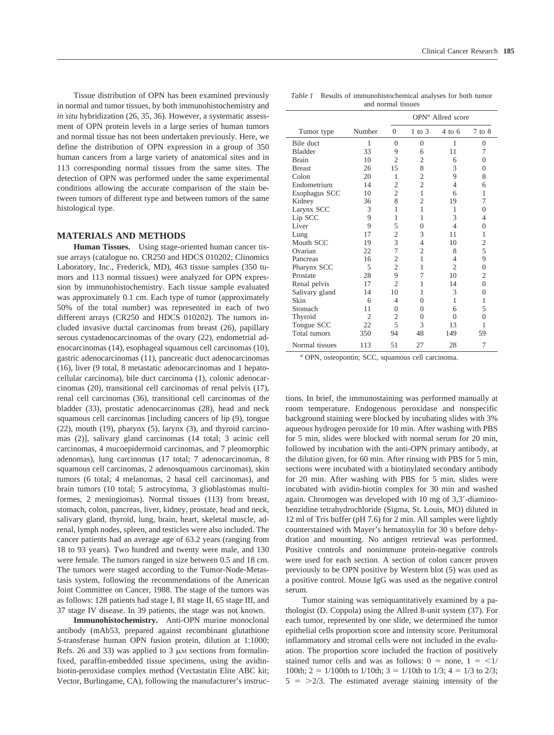Tissue distribution of OPN has been examined previously in normal and tumor tissues, by both immunohistochemistry and *in situ* hybridization (26, 35, 36). However, a systematic assessment of OPN protein levels in a large series of human tumors and normal tissue has not been undertaken previously. Here, we define the distribution of OPN expression in a group of 350 human cancers from a large variety of anatomical sites and in 113 corresponding normal tissues from the same sites. The detection of OPN was performed under the same experimental conditions allowing the accurate comparison of the stain between tumors of different type and between tumors of the same histological type.

#### **MATERIALS AND METHODS**

**Human Tissues.** Using stage-oriented human cancer tissue arrays (catalogue no. CR250 and HDCS 010202; Clinomics Laboratory, Inc., Frederick, MD), 463 tissue samples (350 tumors and 113 normal tissues) were analyzed for OPN expression by immunohistochemistry. Each tissue sample evaluated was approximately 0.1 cm. Each type of tumor (approximately 50% of the total number) was represented in each of two different arrays (CR250 and HDCS 010202). The tumors included invasive ductal carcinomas from breast (26), papillary serous cystadenocarcinomas of the ovary (22), endometrial adenocarcinomas (14), esophageal squamous cell carcinomas (10), gastric adenocarcinomas (11), pancreatic duct adenocarcinomas (16), liver (9 total, 8 metastatic adenocarcinomas and 1 hepatocellular carcinoma), bile duct carcinoma (1), colonic adenocarcinomas (20), transitional cell carcinomas of renal pelvis (17), renal cell carcinomas (36), transitional cell carcinomas of the bladder (33), prostatic adenocarcinomas (28), head and neck squamous cell carcinomas [including cancers of lip (9), tongue (22), mouth (19), pharynx (5), larynx (3), and thyroid carcinomas (2)], salivary gland carcinomas (14 total; 3 acinic cell carcinomas, 4 mucoepidermoid carcinomas, and 7 pleomorphic adenomas), lung carcinomas (17 total; 7 adenocarcinomas, 8 squamous cell carcinomas, 2 adenosquamous carcinomas), skin tumors (6 total; 4 melanomas, 2 basal cell carcinomas), and brain tumors (10 total; 5 astrocytoma, 3 glioblastomas multiformes, 2 meningiomas). Normal tissues (113) from breast, stomach, colon, pancreas, liver, kidney, prostate, head and neck, salivary gland, thyroid, lung, brain, heart, skeletal muscle, adrenal, lymph nodes, spleen, and testicles were also included. The cancer patients had an average age of 63.2 years (ranging from 18 to 93 years). Two hundred and twenty were male, and 130 were female. The tumors ranged in size between 0.5 and 18 cm. The tumors were staged according to the Tumor-Node-Metastasis system, following the recommendations of the American Joint Committee on Cancer, 1988. The stage of the tumors was as follows: 128 patients had stage I, 81 stage II, 65 stage III, and 37 stage IV disease. In 39 patients, the stage was not known.

**Immunohistochemistry.** Anti-OPN murine monoclonal antibody (mAb53, prepared against recombinant glutathione *S*-transferase human OPN fusion protein, dilution at 1:1000; Refs. 26 and 33) was applied to 3  $\mu$ M sections from formalinfixed, paraffin-embedded tissue specimens, using the avidinbiotin-peroxidase complex method (Vectastatin Elite ABC kit; Vector, Burlingame, CA), following the manufacturer's instruc-

*Table 1* Results of immunohistochemical analyses for both tumor and normal tissues

|                |                |                | $OPNa$ Allred score |                   |                |  |
|----------------|----------------|----------------|---------------------|-------------------|----------------|--|
| Tumor type     | Number         | $\Omega$       | $1$ to $3$          | $4 \text{ to } 6$ | $7$ to $8$     |  |
| Bile duct      | 1              | $\Omega$       | $\theta$            | 1                 | $\theta$       |  |
| <b>Bladder</b> | 33             | 9              | 6                   | 11                | 7              |  |
| <b>Brain</b>   | 10             | $\overline{c}$ | $\overline{2}$      | 6                 | $\Omega$       |  |
| <b>Breast</b>  | 26             | 15             | 8                   | 3                 | $\overline{0}$ |  |
| Colon          | 20             | 1              | $\overline{2}$      | 9                 | 8              |  |
| Endometrium    | 14             | $\overline{2}$ | $\overline{2}$      | $\overline{4}$    | 6              |  |
| Esophagus SCC  | 10             | $\overline{2}$ | 1                   | 6                 | 1              |  |
| Kidney         | 36             | 8              | $\overline{c}$      | 19                | 7              |  |
| Larynx SCC     | 3              | 1              | $\mathbf{1}$        | 1                 | $\theta$       |  |
| Lip SCC        | 9              | 1              | 1                   | 3                 | 4              |  |
| Liver          | 9              | 5              | $\theta$            | $\overline{4}$    | $\overline{0}$ |  |
| Lung           | 17             | $\overline{2}$ | 3                   | 11                | 1              |  |
| Mouth SCC      | 19             | 3              | 4                   | 10                | $\overline{c}$ |  |
| Ovarian        | 22             | 7              | $\overline{c}$      | 8                 | 5              |  |
| Pancreas       | 16             | $\overline{c}$ | 1                   | 4                 | 9              |  |
| Pharynx SCC    | 5              | $\overline{2}$ | 1                   | $\overline{c}$    | $\overline{0}$ |  |
| Prostate       | 28             | 9              | 7                   | 10                | $\overline{2}$ |  |
| Renal pelvis   | 17             | $\mathfrak{D}$ | 1                   | 14                | $\overline{0}$ |  |
| Salivary gland | 14             | 10             | 1                   | 3                 | $\overline{0}$ |  |
| Skin           | 6              | 4              | 0                   | 1                 | 1              |  |
| Stomach        | 11             | 0              | 0                   | 6                 | 5              |  |
| Thyroid        | $\overline{2}$ | $\overline{c}$ | $\theta$            | $\theta$          | $\overline{0}$ |  |
| Tongue SCC     | 22             | 5              | 3                   | 13                | 1              |  |
| Total tumors   | 350            | 94             | 48                  | 149               | 59             |  |
| Normal tissues | 113            | 51             | 27                  | 28                | 7              |  |

*<sup>a</sup>* OPN, osteopontin; SCC, squamous cell carcinoma.

tions. In brief, the immunostaining was performed manually at room temperature. Endogenous peroxidase and nonspecific background staining were blocked by incubating slides with 3% aqueous hydrogen peroxide for 10 min. After washing with PBS for 5 min, slides were blocked with normal serum for 20 min, followed by incubation with the anti-OPN primary antibody, at the dilution given, for 60 min. After rinsing with PBS for 5 min, sections were incubated with a biotinylated secondary antibody for 20 min. After washing with PBS for 5 min, slides were incubated with avidin-biotin complex for 30 min and washed again. Chromogen was developed with 10 mg of 3,3-diaminobenzidine tetrahydrochloride (Sigma, St. Louis, MO) diluted in 12 ml of Tris buffer (pH 7.6) for 2 min. All samples were lightly counterstained with Mayer's hematoxylin for 30 s before dehydration and mounting. No antigen retrieval was performed. Positive controls and nonimmune protein-negative controls were used for each section. A section of colon cancer proven previously to be OPN positive by Western blot (5) was used as a positive control. Mouse IgG was used as the negative control serum.

Tumor staining was semiquantitatively examined by a pathologist (D. Coppola) using the Allred 8-unit system (37). For each tumor, represented by one slide, we determined the tumor epithelial cells proportion score and intensity score. Peritumoral inflammatory and stromal cells were not included in the evaluation. The proportion score included the fraction of positively stained tumor cells and was as follows:  $0 =$  none,  $1 =$  <1/ 100th;  $2 = 1/100$ th to  $1/10$ th;  $3 = 1/10$ th to  $1/3$ ;  $4 = 1/3$  to  $2/3$ ;  $5 = \frac{2}{3}$ . The estimated average staining intensity of the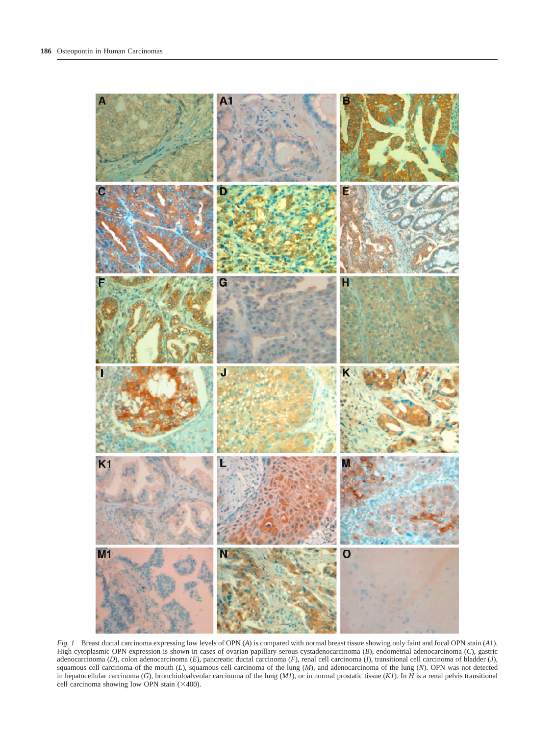

*Fig. 1* Breast ductal carcinoma expressing low levels of OPN (*A*) is compared with normal breast tissue showing only faint and focal OPN stain (*A*1). High cytoplasmic OPN expression is shown in cases of ovarian papillary serous cystadenocarcinoma (*B*), endometrial adenocarcinoma (*C*), gastric adenocarcinoma (*D*), colon adenocarcinoma (*E*), pancreatic ductal carcinoma (*F*), renal cell carcinoma (*I*), transitional cell carcinoma of bladder (*J*), squamous cell carcinoma of the mouth (*L*), squamous cell carcinoma of the lung (*M*), and adenocarcinoma of the lung (*N*). OPN was not detected in hepatocellular carcinoma (*G*), bronchioloalveolar carcinoma of the lung (*M1*), or in normal prostatic tissue (*K1*). In *H* is a renal pelvis transitional cell carcinoma showing low OPN stain  $(\times 400)$ .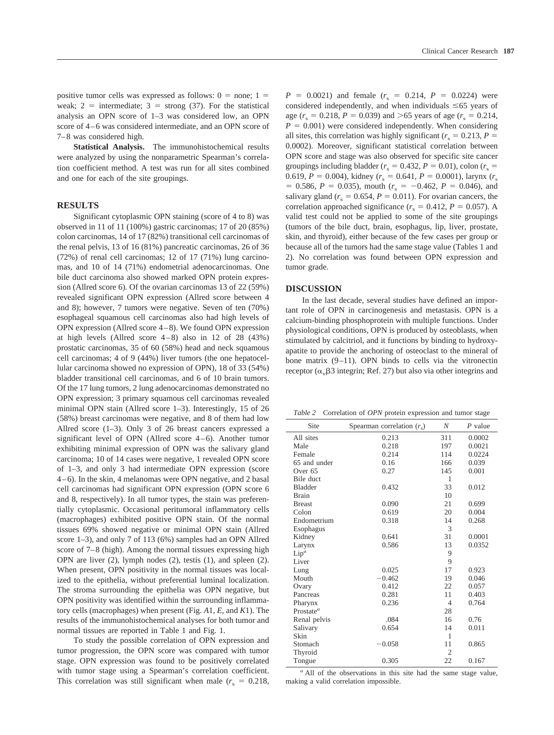positive tumor cells was expressed as follows:  $0 =$  none;  $1 =$ weak;  $2 =$  intermediate;  $3 =$  strong (37). For the statistical analysis an OPN score of 1–3 was considered low, an OPN score of 4–6 was considered intermediate, and an OPN score of 7–8 was considered high.

**Statistical Analysis.** The immunohistochemical results were analyzed by using the nonparametric Spearman's correlation coefficient method. A test was run for all sites combined and one for each of the site groupings.

#### **RESULTS**

Significant cytoplasmic OPN staining (score of 4 to 8) was observed in 11 of 11 (100%) gastric carcinomas; 17 of 20 (85%) colon carcinomas, 14 of 17 (82%) transitional cell carcinomas of the renal pelvis, 13 of 16 (81%) pancreatic carcinomas, 26 of 36 (72%) of renal cell carcinomas; 12 of 17 (71%) lung carcinomas, and 10 of 14 (71%) endometrial adenocarcinomas. One bile duct carcinoma also showed marked OPN protein expression (Allred score 6). Of the ovarian carcinomas 13 of 22 (59%) revealed significant OPN expression (Allred score between 4 and 8); however, 7 tumors were negative. Seven of ten (70%) esophageal squamous cell carcinomas also had high levels of OPN expression (Allred score 4–8). We found OPN expression at high levels (Allred score  $4-8$ ) also in 12 of 28 (43%) prostatic carcinomas, 35 of 60 (58%) head and neck squamous cell carcinomas; 4 of 9 (44%) liver tumors (the one hepatocellular carcinoma showed no expression of OPN), 18 of 33 (54%) bladder transitional cell carcinomas, and 6 of 10 brain tumors. Of the 17 lung tumors, 2 lung adenocarcinomas demonstrated no OPN expression; 3 primary squamous cell carcinomas revealed minimal OPN stain (Allred score 1–3). Interestingly, 15 of 26 (58%) breast carcinomas were negative, and 8 of them had low Allred score (1–3). Only 3 of 26 breast cancers expressed a significant level of OPN (Allred score 4–6). Another tumor exhibiting minimal expression of OPN was the salivary gland carcinoma; 10 of 14 cases were negative, 1 revealed OPN score of 1–3, and only 3 had intermediate OPN expression (score 4–6). In the skin, 4 melanomas were OPN negative, and 2 basal cell carcinomas had significant OPN expression (OPN score 6 and 8, respectively). In all tumor types, the stain was preferentially cytoplasmic. Occasional peritumoral inflammatory cells (macrophages) exhibited positive OPN stain. Of the normal tissues 69% showed negative or minimal OPN stain (Allred score 1–3), and only 7 of 113 (6%) samples had an OPN Allred score of 7–8 (high). Among the normal tissues expressing high OPN are liver (2), lymph nodes (2), testis (1), and spleen (2). When present, OPN positivity in the normal tissues was localized to the epithelia, without preferential luminal localization. The stroma surrounding the epithelia was OPN negative, but OPN positivity was identified within the surrounding inflammatory cells (macrophages) when present (Fig. *A*1, *E*, and *K*1). The results of the immunohistochemical analyses for both tumor and normal tissues are reported in Table 1 and Fig. 1.

To study the possible correlation of OPN expression and tumor progression, the OPN score was compared with tumor stage. OPN expression was found to be positively correlated with tumor stage using a Spearman's correlation coefficient. This correlation was still significant when male  $(r_s = 0.218,$ 

 $P = 0.0021$ ) and female ( $r_s = 0.214$ ,  $P = 0.0224$ ) were considered independently, and when individuals  $\leq 65$  years of age ( $r_s = 0.218$ ,  $P = 0.039$ ) and  $> 65$  years of age ( $r_s = 0.214$ ,  $P = 0.001$ ) were considered independently. When considering all sites, this correlation was highly significant ( $r_s = 0.213$ ,  $P =$ 0.0002). Moreover, significant statistical correlation between OPN score and stage was also observed for specific site cancer groupings including bladder ( $r_s = 0.432$ ,  $P = 0.01$ ), colon ( $r_s =$ 0.619,  $P = 0.004$ ), kidney ( $r_s = 0.641$ ,  $P = 0.0001$ ), larynx ( $r_s$  $= 0.586, P = 0.035$ , mouth  $(r<sub>s</sub> = -0.462, P = 0.046)$ , and salivary gland ( $r_s = 0.654$ ,  $P = 0.011$ ). For ovarian cancers, the correlation approached significance ( $r_s = 0.412$ ,  $P = 0.057$ ). A valid test could not be applied to some of the site groupings (tumors of the bile duct, brain, esophagus, lip, liver, prostate, skin, and thyroid), either because of the few cases per group or because all of the tumors had the same stage value (Tables 1 and 2). No correlation was found between OPN expression and tumor grade.

#### **DISCUSSION**

In the last decade, several studies have defined an important role of OPN in carcinogenesis and metastasis. OPN is a calcium-binding phosphoprotein with multiple functions. Under physiological conditions, OPN is produced by osteoblasts, when stimulated by calcitriol, and it functions by binding to hydroxyapatite to provide the anchoring of osteoclast to the mineral of bone matrix (9–11). OPN binds to cells via the vitronectin receptor  $(\alpha_{\nu} \beta 3$  integrin; Ref. 27) but also via other integrins and

*Table 2* Correlation of *OPN* protein expression and tumor stage

| Site           | Spearman correlation $(rs)$ | N              | $P$ value |
|----------------|-----------------------------|----------------|-----------|
| All sites      | 0.213                       | 311            | 0.0002    |
| Male           | 0.218                       | 197            | 0.0021    |
| Female         | 0.214                       | 114            | 0.0224    |
| 65 and under   | 0.16                        | 166            | 0.039     |
| Over $65$      | 0.27                        | 145            | 0.001     |
| Bile duct      |                             | 1              |           |
| <b>Bladder</b> | 0.432                       | 33             | 0.012     |
| <b>Brain</b>   |                             | 10             |           |
| <b>Breast</b>  | 0.090                       | 21             | 0.699     |
| Colon          | 0.619                       | 20             | 0.004     |
| Endometrium    | 0.318                       | 14             | 0.268     |
| Esophagus      |                             | 3              |           |
| Kidney         | 0.641                       | 31             | 0.0001    |
| Larynx         | 0.586                       | 13             | 0.0352    |
| $Lip^a$        |                             | 9              |           |
| Liver          |                             | 9              |           |
| Lung           | 0.025                       | 17             | 0.923     |
| Mouth          | $-0.462$                    | 19             | 0.046     |
| Ovary          | 0.412                       | 22             | 0.057     |
| Pancreas       | 0.281                       | 11             | 0.403     |
| Pharynx        | 0.236                       | $\overline{4}$ | 0.764     |
| Prostate $a$   |                             | 28             |           |
| Renal pelvis   | .084                        | 16             | 0.76      |
| Salivary       | 0.654                       | 14             | 0.011     |
| Skin           |                             | $\mathbf{1}$   |           |
| Stomach        | $-0.058$                    | 11             | 0.865     |
| Thyroid        |                             | 2              |           |
| Tongue         | 0.305                       | 22             | 0.167     |

*<sup>a</sup>* All of the observations in this site had the same stage value, making a valid correlation impossible.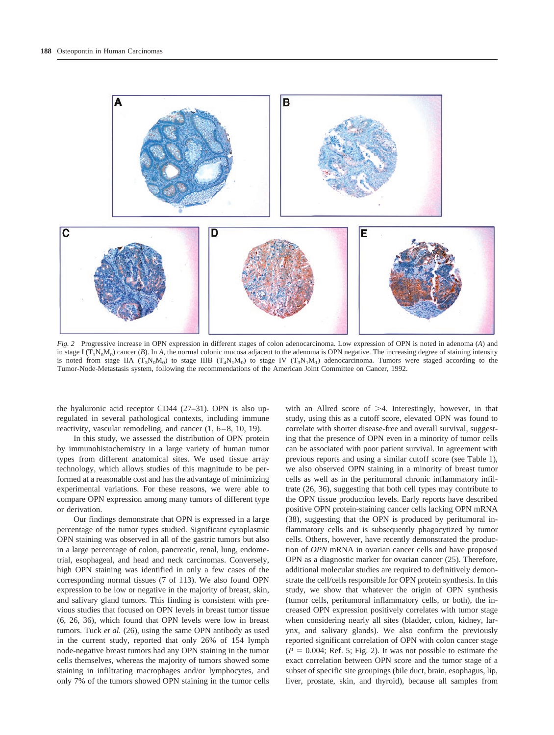

*Fig. 2* Progressive increase in OPN expression in different stages of colon adenocarcinoma. Low expression of OPN is noted in adenoma (*A*) and in stage I  $(T_1N_0M_0)$  cancer (*B*). In *A*, the normal colonic mucosa adjacent to the adenoma is OPN negative. The increasing degree of staining intensity is noted from stage IIA ( $T_3N_0M_0$ ) to stage IIIB ( $T_4N_1M_0$ ) to stage IV ( $T_3N_1M_1$ ) adenocarcinoma. Tumors were staged according to the Tumor-Node-Metastasis system, following the recommendations of the American Joint Committee on Cancer, 1992.

the hyaluronic acid receptor CD44 (27–31). OPN is also upregulated in several pathological contexts, including immune reactivity, vascular remodeling, and cancer (1, 6–8, 10, 19).

In this study, we assessed the distribution of OPN protein by immunohistochemistry in a large variety of human tumor types from different anatomical sites. We used tissue array technology, which allows studies of this magnitude to be performed at a reasonable cost and has the advantage of minimizing experimental variations. For these reasons, we were able to compare OPN expression among many tumors of different type or derivation.

Our findings demonstrate that OPN is expressed in a large percentage of the tumor types studied. Significant cytoplasmic OPN staining was observed in all of the gastric tumors but also in a large percentage of colon, pancreatic, renal, lung, endometrial, esophageal, and head and neck carcinomas. Conversely, high OPN staining was identified in only a few cases of the corresponding normal tissues (7 of 113). We also found OPN expression to be low or negative in the majority of breast, skin, and salivary gland tumors. This finding is consistent with previous studies that focused on OPN levels in breast tumor tissue (6, 26, 36), which found that OPN levels were low in breast tumors. Tuck *et al.* (26), using the same OPN antibody as used in the current study, reported that only 26% of 154 lymph node-negative breast tumors had any OPN staining in the tumor cells themselves, whereas the majority of tumors showed some staining in infiltrating macrophages and/or lymphocytes, and only 7% of the tumors showed OPN staining in the tumor cells with an Allred score of  $>4$ . Interestingly, however, in that study, using this as a cutoff score, elevated OPN was found to correlate with shorter disease-free and overall survival, suggesting that the presence of OPN even in a minority of tumor cells can be associated with poor patient survival. In agreement with previous reports and using a similar cutoff score (see Table 1), we also observed OPN staining in a minority of breast tumor cells as well as in the peritumoral chronic inflammatory infiltrate (26, 36), suggesting that both cell types may contribute to the OPN tissue production levels. Early reports have described positive OPN protein-staining cancer cells lacking OPN mRNA (38), suggesting that the OPN is produced by peritumoral inflammatory cells and is subsequently phagocytized by tumor cells. Others, however, have recently demonstrated the production of *OPN* mRNA in ovarian cancer cells and have proposed OPN as a diagnostic marker for ovarian cancer (25). Therefore, additional molecular studies are required to definitively demonstrate the cell/cells responsible for OPN protein synthesis. In this study, we show that whatever the origin of OPN synthesis (tumor cells, peritumoral inflammatory cells, or both), the increased OPN expression positively correlates with tumor stage when considering nearly all sites (bladder, colon, kidney, larynx, and salivary glands). We also confirm the previously reported significant correlation of OPN with colon cancer stage  $(P = 0.004;$  Ref. 5; Fig. 2). It was not possible to estimate the exact correlation between OPN score and the tumor stage of a subset of specific site groupings (bile duct, brain, esophagus, lip, liver, prostate, skin, and thyroid), because all samples from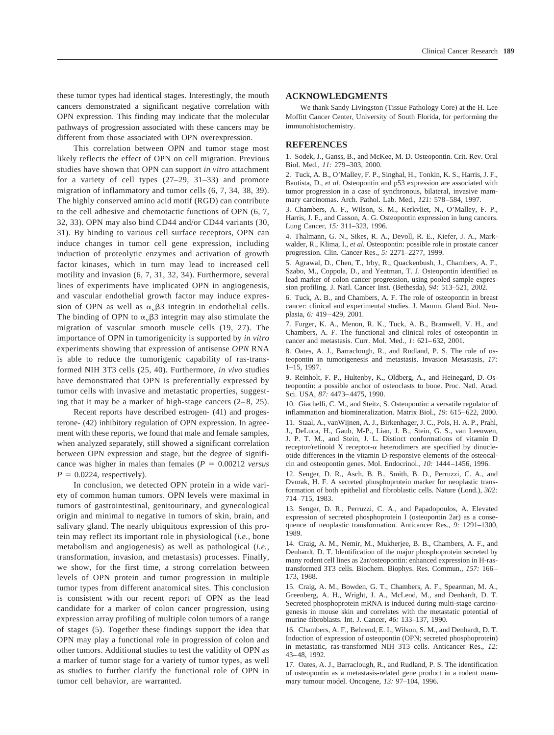these tumor types had identical stages. Interestingly, the mouth cancers demonstrated a significant negative correlation with OPN expression. This finding may indicate that the molecular pathways of progression associated with these cancers may be different from those associated with OPN overexpression.

This correlation between OPN and tumor stage most likely reflects the effect of OPN on cell migration. Previous studies have shown that OPN can support *in vitro* attachment for a variety of cell types (27–29, 31–33) and promote migration of inflammatory and tumor cells (6, 7, 34, 38, 39). The highly conserved amino acid motif (RGD) can contribute to the cell adhesive and chemotactic functions of OPN (6, 7, 32, 33). OPN may also bind CD44 and/or CD44 variants (30, 31). By binding to various cell surface receptors, OPN can induce changes in tumor cell gene expression, including induction of proteolytic enzymes and activation of growth factor kinases, which in turn may lead to increased cell motility and invasion (6, 7, 31, 32, 34). Furthermore, several lines of experiments have implicated OPN in angiogenesis, and vascular endothelial growth factor may induce expression of OPN as well as  $\alpha_v\beta$ 3 integrin in endothelial cells. The binding of OPN to  $\alpha_{\rm v}$   $\beta$ 3 integrin may also stimulate the migration of vascular smooth muscle cells (19, 27). The importance of OPN in tumorigenicity is supported by *in vitro* experiments showing that expression of antisense *OPN* RNA is able to reduce the tumorigenic capability of ras-transformed NIH 3T3 cells (25, 40). Furthermore, *in vivo* studies have demonstrated that OPN is preferentially expressed by tumor cells with invasive and metastatic properties, suggesting that it may be a marker of high-stage cancers  $(2-8, 25)$ .

Recent reports have described estrogen- (41) and progesterone- (42) inhibitory regulation of OPN expression. In agreement with these reports, we found that male and female samples, when analyzed separately, still showed a significant correlation between OPN expression and stage, but the degree of significance was higher in males than females  $(P = 0.00212 \text{ versus}$  $P = 0.0224$ , respectively).

In conclusion, we detected OPN protein in a wide variety of common human tumors. OPN levels were maximal in tumors of gastrointestinal, genitourinary, and gynecological origin and minimal to negative in tumors of skin, brain, and salivary gland. The nearly ubiquitous expression of this protein may reflect its important role in physiological (*i.e.,* bone metabolism and angiogenesis) as well as pathological (*i.e.,* transformation, invasion, and metastasis) processes. Finally, we show, for the first time, a strong correlation between levels of OPN protein and tumor progression in multiple tumor types from different anatomical sites. This conclusion is consistent with our recent report of OPN as the lead candidate for a marker of colon cancer progression, using expression array profiling of multiple colon tumors of a range of stages (5). Together these findings support the idea that OPN may play a functional role in progression of colon and other tumors. Additional studies to test the validity of OPN as a marker of tumor stage for a variety of tumor types, as well as studies to further clarify the functional role of OPN in tumor cell behavior, are warranted.

#### **ACKNOWLEDGMENTS**

We thank Sandy Livingston (Tissue Pathology Core) at the H. Lee Moffitt Cancer Center, University of South Florida, for performing the immunohistochemistry.

#### **REFERENCES**

1. Sodek, J., Ganss, B., and McKee, M. D. Osteopontin. Crit. Rev. Oral Biol. Med., *11:* 279–303, 2000.

2. Tuck, A. B., O'Malley, F. P., Singhal, H., Tonkin, K. S., Harris, J. F., Bautista, D., *et al.* Osteopontin and p53 expression are associated with tumor progression in a case of synchronous, bilateral, invasive mammary carcinomas. Arch. Pathol. Lab. Med., *121:* 578–584, 1997.

3. Chambers, A. F., Wilson, S. M., Kerkvliet, N., O'Malley, F. P., Harris, J. F., and Casson, A. G. Osteopontin expression in lung cancers. Lung Cancer, *15:* 311–323, 1996.

4. Thalmann, G. N., Sikes, R. A., Devoll, R. E., Kiefer, J. A., Markwalder, R., Klima, I., *et al.* Osteopontin: possible role in prostate cancer progression. Clin. Cancer Res., *5:* 2271–2277, 1999.

5. Agrawal, D., Chen, T., Irby, R., Quackenbush, J., Chambers, A. F., Szabo, M., Coppola, D., and Yeatman, T. J. Osteopontin identified as lead marker of colon cancer progression, using pooled sample expression profiling. J. Natl. Cancer Inst. (Bethesda), *94:* 513–521, 2002.

6. Tuck, A. B., and Chambers, A. F. The role of osteopontin in breast cancer: clinical and experimental studies. J. Mamm. Gland Biol. Neoplasia, *6:* 419–429, 2001.

7. Furger, K. A., Menon, R. K., Tuck, A. B., Bramwell, V. H., and Chambers, A. F. The functional and clinical roles of osteopontin in cancer and metastasis. Curr. Mol. Med., *1:* 621–632, 2001.

8. Oates, A. J., Barraclough, R., and Rudland, P. S. The role of osteopontin in tumorigenesis and metastasis. Invasion Metastasis, *17:* 1–15, 1997.

9. Reinholt, F. P., Hultenby, K., Oldberg, A., and Heinegard, D. Osteopontin: a possible anchor of osteoclasts to bone. Proc. Natl. Acad. Sci. USA, *87:* 4473–4475, 1990.

10. Giachelli, C. M., and Steitz, S. Osteopontin: a versatile regulator of inflammation and biomineralization. Matrix Biol., *19:* 615–622, 2000.

11. Staal, A., vanWijnen, A. J., Birkenhager, J. C., Pols, H. A. P., Prahl, J., DeLuca, H., Gaub, M-P., Lian, J. B., Stein, G. S., van Leeuwen, J. P. T. M., and Stein, J. L. Distinct conformations of vitamin D receptor/retinoid X receptor- $\alpha$  heterodimers are specified by dinucleotide differences in the vitamin D-responsive elements of the osteocalcin and osteopontin genes. Mol. Endocrinol., *10:* 1444–1456, 1996.

12. Senger, D. R., Asch, B. B., Smith, B. D., Perruzzi, C. A., and Dvorak, H. F. A secreted phosphoprotein marker for neoplastic transformation of both epithelial and fibroblastic cells. Nature (Lond.), *302:* 714–715, 1983.

13. Senger, D. R., Perruzzi, C. A., and Papadopoulos, A. Elevated expression of secreted phosphoprotein I (osteopontin 2ar) as a consequence of neoplastic transformation. Anticancer Res., *9:* 1291–1300, 1989.

14. Craig, A. M., Nemir, M., Mukherjee, B. B., Chambers, A. F., and Denhardt, D. T. Identification of the major phosphoprotein secreted by many rodent cell lines as 2ar/osteopontin: enhanced expression in H-rastransformed 3T3 cells. Biochem. Biophys. Res. Commun., *157:* 166– 173, 1988.

15. Craig, A. M., Bowden, G. T., Chambers, A. F., Spearman, M. A., Greenberg, A. H., Wright, J. A., McLeod, M., and Denhardt, D. T. Secreted phosphoprotein mRNA is induced during multi-stage carcinogenesis in mouse skin and correlates with the metastatic potential of murine fibroblasts. Int. J. Cancer, *46:* 133–137, 1990.

16. Chambers, A. F., Behrend, E. I., Wilson, S. M., and Denhardt, D. T. Induction of expression of osteopontin (OPN; secreted phosphoprotein) in metastatic, ras-transformed NIH 3T3 cells. Anticancer Res., *12:* 43–48, 1992.

17. Oates, A. J., Barraclough, R., and Rudland, P. S. The identification of osteopontin as a metastasis-related gene product in a rodent mammary tumour model. Oncogene, *13:* 97–104, 1996.